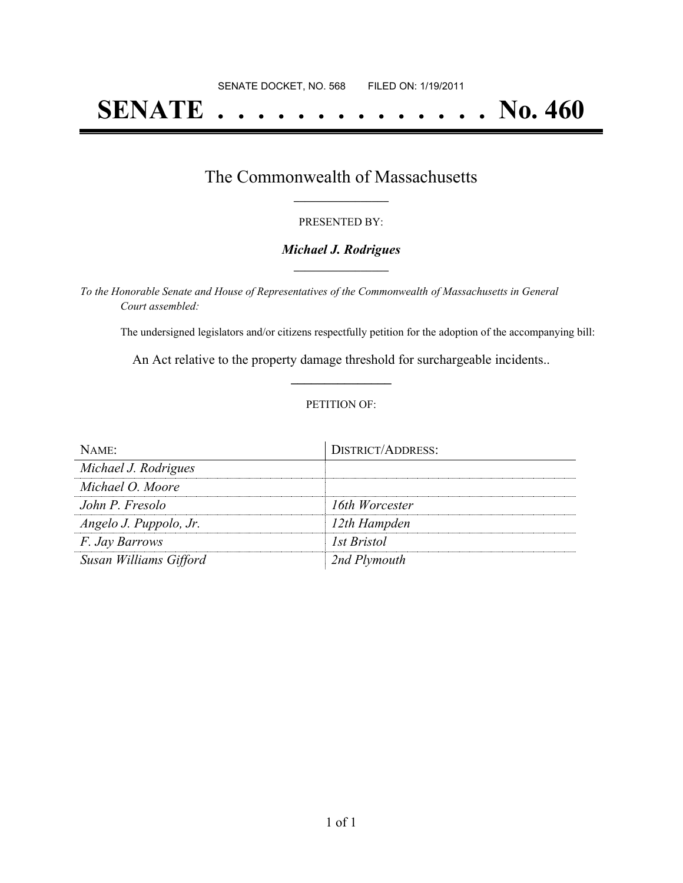# **SENATE . . . . . . . . . . . . . . No. 460**

### The Commonwealth of Massachusetts **\_\_\_\_\_\_\_\_\_\_\_\_\_\_\_\_\_**

#### PRESENTED BY:

#### *Michael J. Rodrigues* **\_\_\_\_\_\_\_\_\_\_\_\_\_\_\_\_\_**

*To the Honorable Senate and House of Representatives of the Commonwealth of Massachusetts in General Court assembled:*

The undersigned legislators and/or citizens respectfully petition for the adoption of the accompanying bill:

An Act relative to the property damage threshold for surchargeable incidents.. **\_\_\_\_\_\_\_\_\_\_\_\_\_\_\_**

#### PETITION OF:

| NAME                   | <b>DISTRICT/ADDRESS:</b> |
|------------------------|--------------------------|
| Michael J. Rodrigues   |                          |
| Michael O. Moore       |                          |
| John P. Fresolo        | 16th Worcester           |
| Angelo J. Puppolo, Jr. | 12th Hampden             |
| <i>F. Jay Barrows</i>  | 1st Bristol              |
| Susan Williams Gifford | 2nd Plymouth             |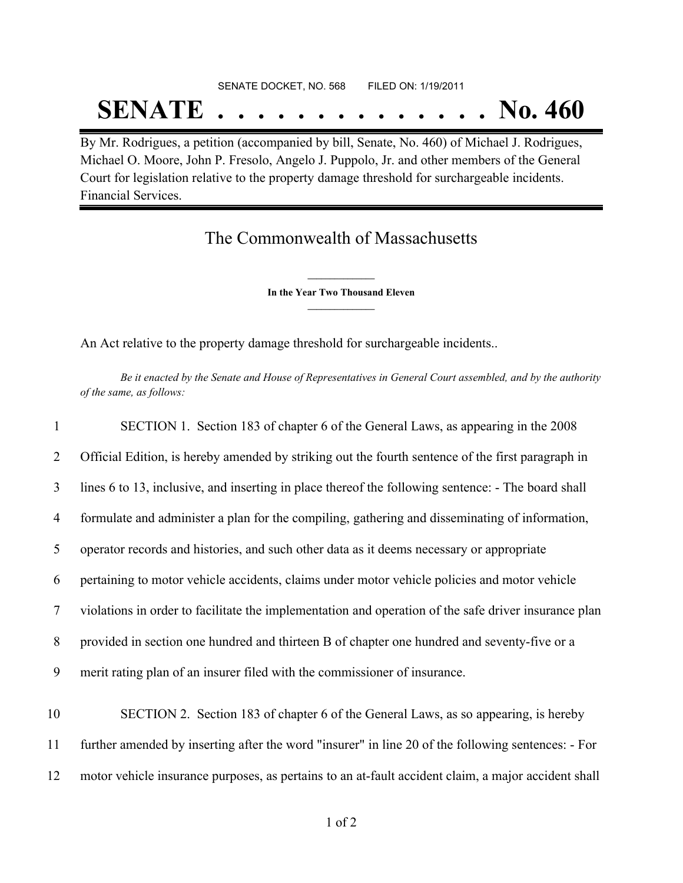## SENATE DOCKET, NO. 568 FILED ON: 1/19/2011 **SENATE . . . . . . . . . . . . . . No. 460**

By Mr. Rodrigues, a petition (accompanied by bill, Senate, No. 460) of Michael J. Rodrigues, Michael O. Moore, John P. Fresolo, Angelo J. Puppolo, Jr. and other members of the General Court for legislation relative to the property damage threshold for surchargeable incidents. Financial Services.

## The Commonwealth of Massachusetts

**\_\_\_\_\_\_\_\_\_\_\_\_\_\_\_ In the Year Two Thousand Eleven \_\_\_\_\_\_\_\_\_\_\_\_\_\_\_**

An Act relative to the property damage threshold for surchargeable incidents..

Be it enacted by the Senate and House of Representatives in General Court assembled, and by the authority *of the same, as follows:*

| $\mathbf{1}$ | SECTION 1. Section 183 of chapter 6 of the General Laws, as appearing in the 2008                    |
|--------------|------------------------------------------------------------------------------------------------------|
| 2            | Official Edition, is hereby amended by striking out the fourth sentence of the first paragraph in    |
| 3            | lines 6 to 13, inclusive, and inserting in place thereof the following sentence: - The board shall   |
| 4            | formulate and administer a plan for the compiling, gathering and disseminating of information,       |
| 5            | operator records and histories, and such other data as it deems necessary or appropriate             |
| 6            | pertaining to motor vehicle accidents, claims under motor vehicle policies and motor vehicle         |
| $\tau$       | violations in order to facilitate the implementation and operation of the safe driver insurance plan |
| 8            | provided in section one hundred and thirteen B of chapter one hundred and seventy-five or a          |
| 9            | merit rating plan of an insurer filed with the commissioner of insurance.                            |
| 10           | SECTION 2. Section 183 of chapter 6 of the General Laws, as so appearing, is hereby                  |
| 11           | further amended by inserting after the word "insurer" in line 20 of the following sentences: - For   |
| 12           | motor vehicle insurance purposes, as pertains to an at-fault accident claim, a major accident shall  |